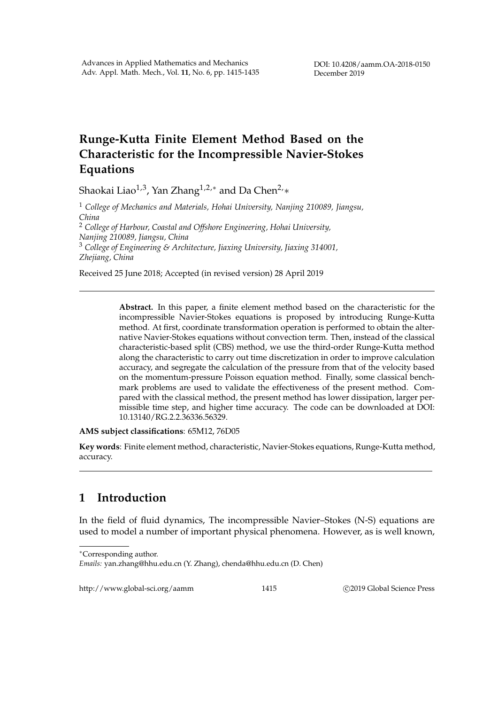## **Runge-Kutta Finite Element Method Based on the Characteristic for the Incompressible Navier-Stokes Equations**

Shaokai Liao<sup>1,3</sup>, Yan Zhang<sup>1,2,∗</sup> and Da Chen<sup>2,</sup>∗

<sup>1</sup> *College of Mechanics and Materials, Hohai University, Nanjing 210089, Jiangsu, China* <sup>2</sup> *College of Harbour, Coastal and Offshore Engineering, Hohai University, Nanjing 210089, Jiangsu, China* <sup>3</sup> *College of Engineering & Architecture, Jiaxing University, Jiaxing 314001, Zhejiang, China*

Received 25 June 2018; Accepted (in revised version) 28 April 2019

**Abstract.** In this paper, a finite element method based on the characteristic for the incompressible Navier-Stokes equations is proposed by introducing Runge-Kutta method. At first, coordinate transformation operation is performed to obtain the alternative Navier-Stokes equations without convection term. Then, instead of the classical characteristic-based split (CBS) method, we use the third-order Runge-Kutta method along the characteristic to carry out time discretization in order to improve calculation accuracy, and segregate the calculation of the pressure from that of the velocity based on the momentum-pressure Poisson equation method. Finally, some classical benchmark problems are used to validate the effectiveness of the present method. Compared with the classical method, the present method has lower dissipation, larger permissible time step, and higher time accuracy. The code can be downloaded at DOI: 10.13140/RG.2.2.36336.56329.

**AMS subject classifications**: 65M12, 76D05

**Key words**: Finite element method, characteristic, Navier-Stokes equations, Runge-Kutta method, accuracy.

## **1 Introduction**

In the field of fluid dynamics, The incompressible Navier–Stokes (N-S) equations are used to model a number of important physical phenomena. However, as is well known,

http://www.global-sci.org/aamm 1415 C 2019 Global Science Press

<sup>∗</sup>Corresponding author.

*Emails:* yan.zhang@hhu.edu.cn (Y. Zhang), chenda@hhu.edu.cn (D. Chen)